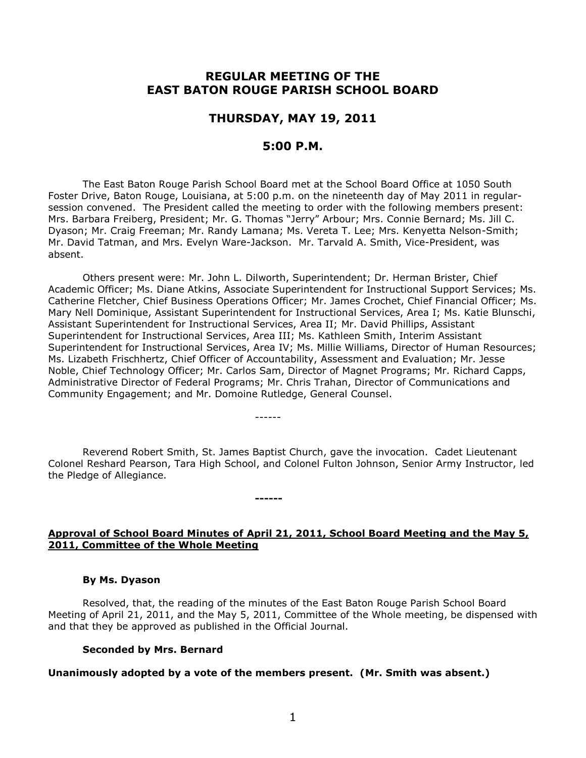# **REGULAR MEETING OF THE EAST BATON ROUGE PARISH SCHOOL BOARD**

## **THURSDAY, MAY 19, 2011**

# **5:00 P.M.**

The East Baton Rouge Parish School Board met at the School Board Office at 1050 South Foster Drive, Baton Rouge, Louisiana, at 5:00 p.m. on the nineteenth day of May 2011 in regularsession convened. The President called the meeting to order with the following members present: Mrs. Barbara Freiberg, President; Mr. G. Thomas "Jerry" Arbour; Mrs. Connie Bernard; Ms. Jill C. Dyason; Mr. Craig Freeman; Mr. Randy Lamana; Ms. Vereta T. Lee; Mrs. Kenyetta Nelson-Smith; Mr. David Tatman, and Mrs. Evelyn Ware-Jackson. Mr. Tarvald A. Smith, Vice-President, was absent.

Others present were: Mr. John L. Dilworth, Superintendent; Dr. Herman Brister, Chief Academic Officer; Ms. Diane Atkins, Associate Superintendent for Instructional Support Services; Ms. Catherine Fletcher, Chief Business Operations Officer; Mr. James Crochet, Chief Financial Officer; Ms. Mary Nell Dominique, Assistant Superintendent for Instructional Services, Area I; Ms. Katie Blunschi, Assistant Superintendent for Instructional Services, Area II; Mr. David Phillips, Assistant Superintendent for Instructional Services, Area III; Ms. Kathleen Smith, Interim Assistant Superintendent for Instructional Services, Area IV; Ms. Millie Williams, Director of Human Resources; Ms. Lizabeth Frischhertz, Chief Officer of Accountability, Assessment and Evaluation; Mr. Jesse Noble, Chief Technology Officer; Mr. Carlos Sam, Director of Magnet Programs; Mr. Richard Capps, Administrative Director of Federal Programs; Mr. Chris Trahan, Director of Communications and Community Engagement; and Mr. Domoine Rutledge, General Counsel.

Reverend Robert Smith, St. James Baptist Church, gave the invocation. Cadet Lieutenant Colonel Reshard Pearson, Tara High School, and Colonel Fulton Johnson, Senior Army Instructor, led the Pledge of Allegiance.

------

**------**

## **Approval of School Board Minutes of April 21, 2011, School Board Meeting and the May 5, 2011, Committee of the Whole Meeting**

#### **By Ms. Dyason**

Resolved, that, the reading of the minutes of the East Baton Rouge Parish School Board Meeting of April 21, 2011, and the May 5, 2011, Committee of the Whole meeting, be dispensed with and that they be approved as published in the Official Journal.

#### **Seconded by Mrs. Bernard**

### **Unanimously adopted by a vote of the members present. (Mr. Smith was absent.)**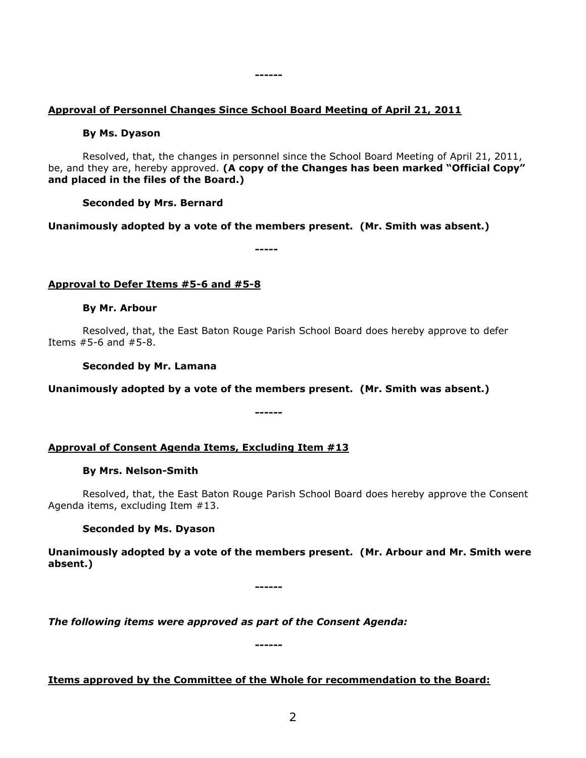# **Approval of Personnel Changes Since School Board Meeting of April 21, 2011**

**------**

### **By Ms. Dyason**

Resolved, that, the changes in personnel since the School Board Meeting of April 21, 2011, be, and they are, hereby approved. **(A copy of the Changes has been marked "Official Copy" and placed in the files of the Board.)**

## **Seconded by Mrs. Bernard**

**Unanimously adopted by a vote of the members present. (Mr. Smith was absent.)**

**-----**

# **Approval to Defer Items #5-6 and #5-8**

## **By Mr. Arbour**

Resolved, that, the East Baton Rouge Parish School Board does hereby approve to defer Items #5-6 and #5-8.

**Seconded by Mr. Lamana**

**Unanimously adopted by a vote of the members present. (Mr. Smith was absent.)**

**------**

# **Approval of Consent Agenda Items, Excluding Item #13**

## **By Mrs. Nelson-Smith**

Resolved, that, the East Baton Rouge Parish School Board does hereby approve the Consent Agenda items, excluding Item #13.

# **Seconded by Ms. Dyason**

**Unanimously adopted by a vote of the members present. (Mr. Arbour and Mr. Smith were absent.)**

**------**

*The following items were approved as part of the Consent Agenda:*

**------**

# **Items approved by the Committee of the Whole for recommendation to the Board:**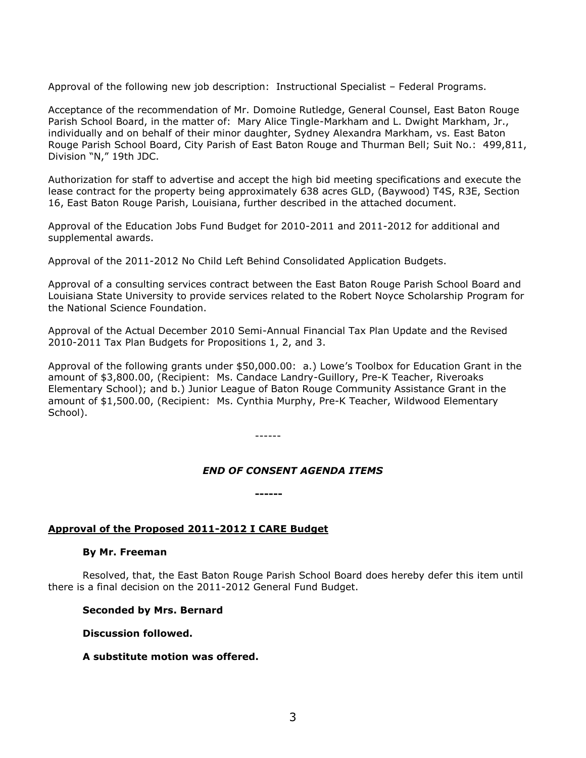Approval of the following new job description: Instructional Specialist – Federal Programs.

Acceptance of the recommendation of Mr. Domoine Rutledge, General Counsel, East Baton Rouge Parish School Board, in the matter of: Mary Alice Tingle-Markham and L. Dwight Markham, Jr., individually and on behalf of their minor daughter, Sydney Alexandra Markham, vs. East Baton Rouge Parish School Board, City Parish of East Baton Rouge and Thurman Bell; Suit No.: 499,811, Division "N," 19th JDC.

Authorization for staff to advertise and accept the high bid meeting specifications and execute the lease contract for the property being approximately 638 acres GLD, (Baywood) T4S, R3E, Section 16, East Baton Rouge Parish, Louisiana, further described in the attached document.

Approval of the Education Jobs Fund Budget for 2010-2011 and 2011-2012 for additional and supplemental awards.

Approval of the 2011-2012 No Child Left Behind Consolidated Application Budgets.

Approval of a consulting services contract between the East Baton Rouge Parish School Board and Louisiana State University to provide services related to the Robert Noyce Scholarship Program for the National Science Foundation.

Approval of the Actual December 2010 Semi-Annual Financial Tax Plan Update and the Revised 2010-2011 Tax Plan Budgets for Propositions 1, 2, and 3.

Approval of the following grants under \$50,000.00: a.) Lowe's Toolbox for Education Grant in the amount of \$3,800.00, (Recipient: Ms. Candace Landry-Guillory, Pre-K Teacher, Riveroaks Elementary School); and b.) Junior League of Baton Rouge Community Assistance Grant in the amount of \$1,500.00, (Recipient: Ms. Cynthia Murphy, Pre-K Teacher, Wildwood Elementary School).

------

**------**

# *END OF CONSENT AGENDA ITEMS*

## **Approval of the Proposed 2011-2012 I CARE Budget**

#### **By Mr. Freeman**

Resolved, that, the East Baton Rouge Parish School Board does hereby defer this item until there is a final decision on the 2011-2012 General Fund Budget.

**Seconded by Mrs. Bernard**

**Discussion followed.**

**A substitute motion was offered.**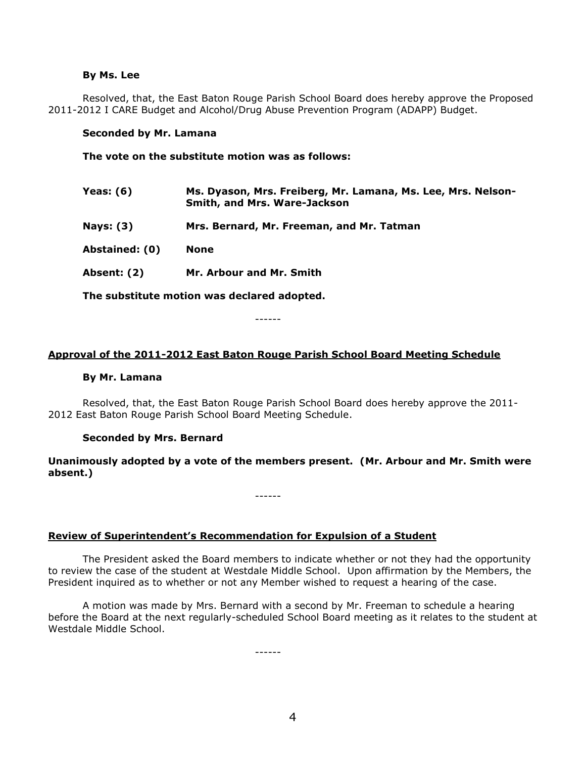#### **By Ms. Lee**

Resolved, that, the East Baton Rouge Parish School Board does hereby approve the Proposed 2011-2012 I CARE Budget and Alcohol/Drug Abuse Prevention Program (ADAPP) Budget.

#### **Seconded by Mr. Lamana**

**The vote on the substitute motion was as follows:**

| Yeas: (6)        | Ms. Dyason, Mrs. Freiberg, Mr. Lamana, Ms. Lee, Mrs. Nelson-<br><b>Smith, and Mrs. Ware-Jackson</b> |
|------------------|-----------------------------------------------------------------------------------------------------|
| <b>Nays: (3)</b> | Mrs. Bernard, Mr. Freeman, and Mr. Tatman                                                           |
| Abstained: (0)   | <b>None</b>                                                                                         |
| Absent: (2)      | Mr. Arbour and Mr. Smith                                                                            |
|                  |                                                                                                     |

**The substitute motion was declared adopted.**

------

### **Approval of the 2011-2012 East Baton Rouge Parish School Board Meeting Schedule**

#### **By Mr. Lamana**

Resolved, that, the East Baton Rouge Parish School Board does hereby approve the 2011- 2012 East Baton Rouge Parish School Board Meeting Schedule.

### **Seconded by Mrs. Bernard**

**Unanimously adopted by a vote of the members present. (Mr. Arbour and Mr. Smith were absent.)**

------

**Review of Superintendent's Recommendation for Expulsion of a Student**

The President asked the Board members to indicate whether or not they had the opportunity to review the case of the student at Westdale Middle School. Upon affirmation by the Members, the President inquired as to whether or not any Member wished to request a hearing of the case.

A motion was made by Mrs. Bernard with a second by Mr. Freeman to schedule a hearing before the Board at the next regularly-scheduled School Board meeting as it relates to the student at Westdale Middle School.

------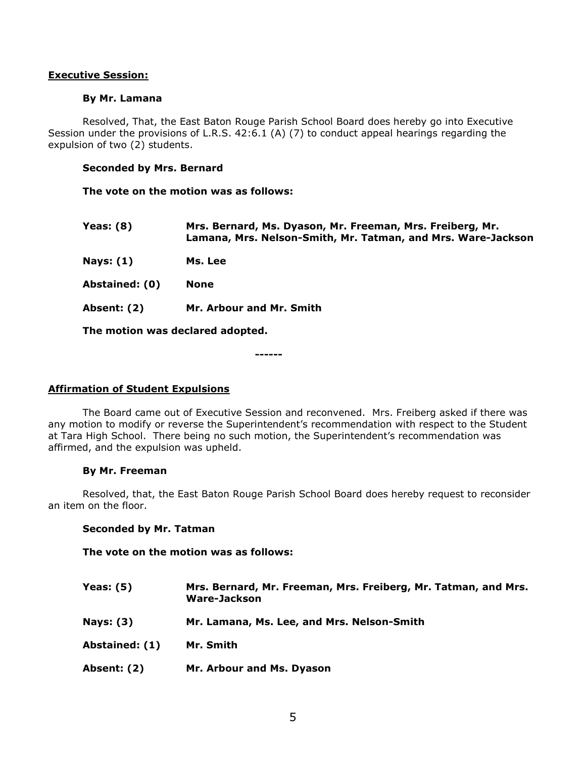### **Executive Session:**

### **By Mr. Lamana**

Resolved, That, the East Baton Rouge Parish School Board does hereby go into Executive Session under the provisions of L.R.S. 42:6.1 (A) (7) to conduct appeal hearings regarding the expulsion of two (2) students.

### **Seconded by Mrs. Bernard**

**The vote on the motion was as follows:**

**Yeas: (8) Mrs. Bernard, Ms. Dyason, Mr. Freeman, Mrs. Freiberg, Mr. Lamana, Mrs. Nelson-Smith, Mr. Tatman, and Mrs. Ware-Jackson**

**Nays: (1) Ms. Lee**

**Abstained: (0) None**

**Absent: (2) Mr. Arbour and Mr. Smith**

**The motion was declared adopted.**

**------**

## **Affirmation of Student Expulsions**

The Board came out of Executive Session and reconvened. Mrs. Freiberg asked if there was any motion to modify or reverse the Superintendent's recommendation with respect to the Student at Tara High School. There being no such motion, the Superintendent's recommendation was affirmed, and the expulsion was upheld.

#### **By Mr. Freeman**

Resolved, that, the East Baton Rouge Parish School Board does hereby request to reconsider an item on the floor.

## **Seconded by Mr. Tatman**

**The vote on the motion was as follows:**

| Yeas: $(5)$    | Mrs. Bernard, Mr. Freeman, Mrs. Freiberg, Mr. Tatman, and Mrs.<br>Ware-Jackson |
|----------------|--------------------------------------------------------------------------------|
| Nays: $(3)$    | Mr. Lamana, Ms. Lee, and Mrs. Nelson-Smith                                     |
| Abstained: (1) | Mr. Smith                                                                      |
| Absent: (2)    | Mr. Arbour and Ms. Dyason                                                      |